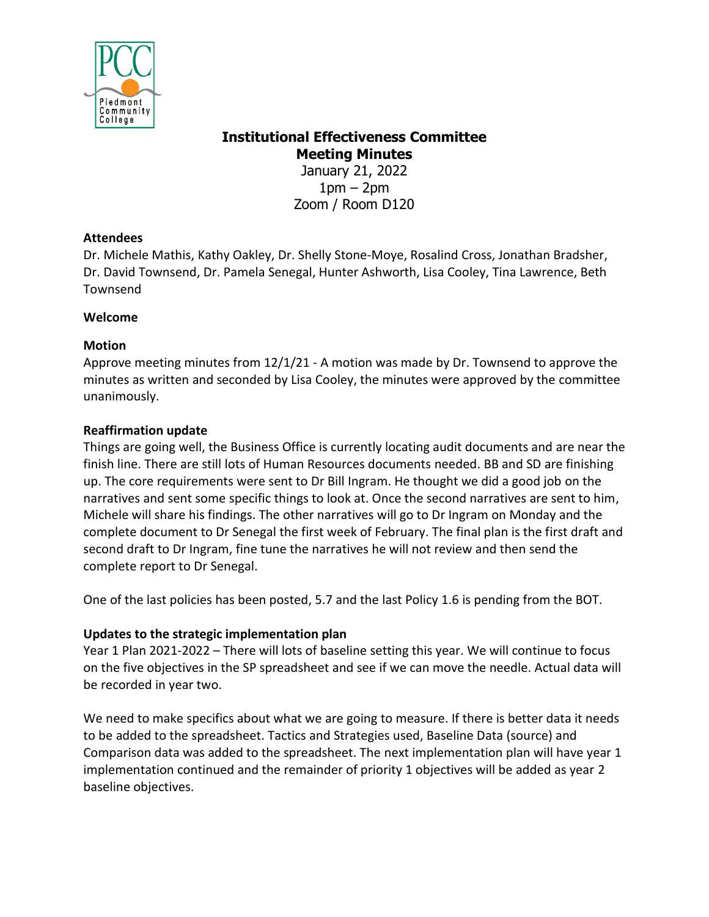

# **Institutional Effectiveness Committee Meeting Minutes**

January 21, 2022  $1pm - 2pm$ Zoom / Room D120

# **Attendees**

Dr. Michele Mathis, Kathy Oakley, Dr. Shelly Stone-Moye, Rosalind Cross, Jonathan Bradsher, Dr. David Townsend, Dr. Pamela Senegal, Hunter Ashworth, Lisa Cooley, Tina Lawrence, Beth Townsend

### **Welcome**

### **Motion**

Approve meeting minutes from 12/1/21 - A motion was made by Dr. Townsend to approve the minutes as written and seconded by Lisa Cooley, the minutes were approved by the committee unanimously.

# **Reaffirmation update**

Things are going well, the Business Office is currently locating audit documents and are near the finish line. There are still lots of Human Resources documents needed. BB and SD are finishing up. The core requirements were sent to Dr Bill Ingram. He thought we did a good job on the narratives and sent some specific things to look at. Once the second narratives are sent to him, Michele will share his findings. The other narratives will go to Dr Ingram on Monday and the complete document to Dr Senegal the first week of February. The final plan is the first draft and second draft to Dr Ingram, fine tune the narratives he will not review and then send the complete report to Dr Senegal.

One of the last policies has been posted, 5.7 and the last Policy 1.6 is pending from the BOT.

# **Updates to the strategic implementation plan**

Year 1 Plan 2021-2022 – There will lots of baseline setting this year. We will continue to focus on the five objectives in the SP spreadsheet and see if we can move the needle. Actual data will be recorded in year two.

We need to make specifics about what we are going to measure. If there is better data it needs to be added to the spreadsheet. Tactics and Strategies used, Baseline Data (source) and Comparison data was added to the spreadsheet. The next implementation plan will have year 1 implementation continued and the remainder of priority 1 objectives will be added as year 2 baseline objectives.